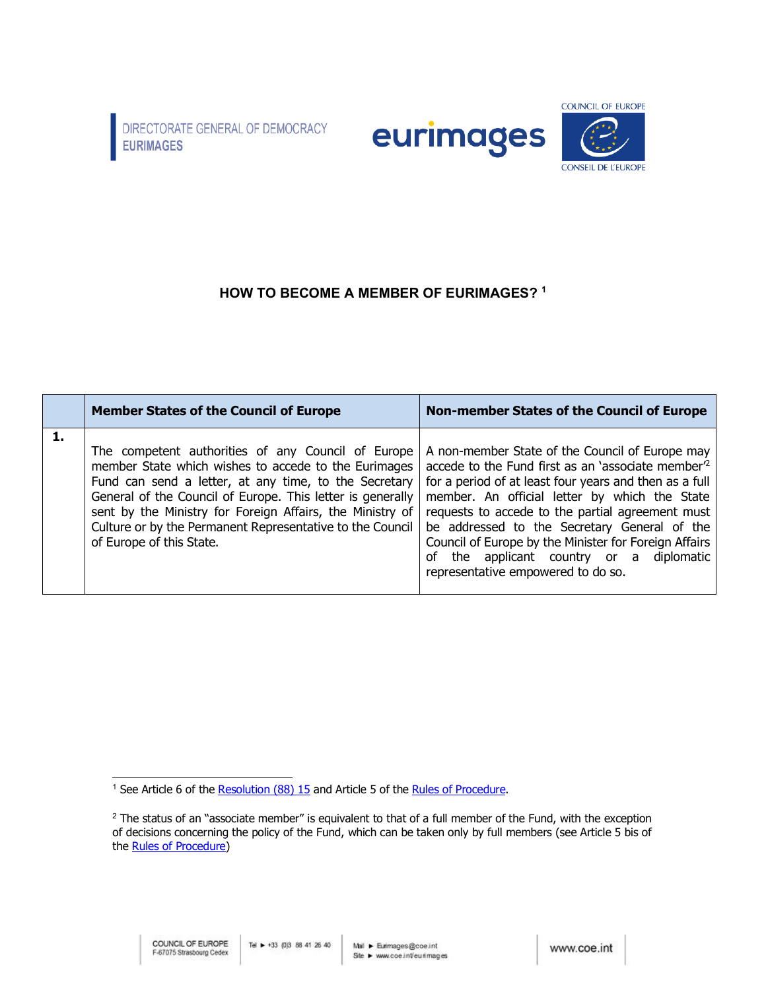





## **HOW TO BECOME A MEMBER OF EURIMAGES?<sup>1</sup>**

| <b>Member States of the Council of Europe</b>                                                                                                                                                                                                                                                                                                                                           | <b>Non-member States of the Council of Europe</b>                                                                                                                                                                                                                                                                                                                                                                                                                             |
|-----------------------------------------------------------------------------------------------------------------------------------------------------------------------------------------------------------------------------------------------------------------------------------------------------------------------------------------------------------------------------------------|-------------------------------------------------------------------------------------------------------------------------------------------------------------------------------------------------------------------------------------------------------------------------------------------------------------------------------------------------------------------------------------------------------------------------------------------------------------------------------|
| The competent authorities of any Council of Europe<br>member State which wishes to accede to the Eurimages<br>Fund can send a letter, at any time, to the Secretary<br>General of the Council of Europe. This letter is generally<br>sent by the Ministry for Foreign Affairs, the Ministry of<br>Culture or by the Permanent Representative to the Council<br>of Europe of this State. | A non-member State of the Council of Europe may<br>accede to the Fund first as an 'associate member <sup>2</sup><br>for a period of at least four years and then as a full<br>member. An official letter by which the State<br>requests to accede to the partial agreement must<br>be addressed to the Secretary General of the<br>Council of Europe by the Minister for Foreign Affairs<br>the applicant country or a diplomatic<br>of<br>representative empowered to do so. |

<span id="page-0-0"></span><sup>&</sup>lt;sup>1</sup> See Article 6 of the [Resolution \(88\) 15](https://rm.coe.int/setting-up-a-european-support-fund-for-the-co-production-and-distribut/16804b86e2) and Article 5 of the [Rules of Procedure.](https://rm.coe.int/2021-rulesprocedure-en-2788-3534-6178-v-1/1680a1100d)

<span id="page-0-1"></span><sup>&</sup>lt;sup>2</sup> The status of an "associate member" is equivalent to that of a full member of the Fund, with the exception of decisions concerning the policy of the Fund, which can be taken only by full members (see Article 5 bis of the [Rules of Procedure\)](https://rm.coe.int/2021-rulesprocedure-en-2788-3534-6178-v-1/1680a1100d)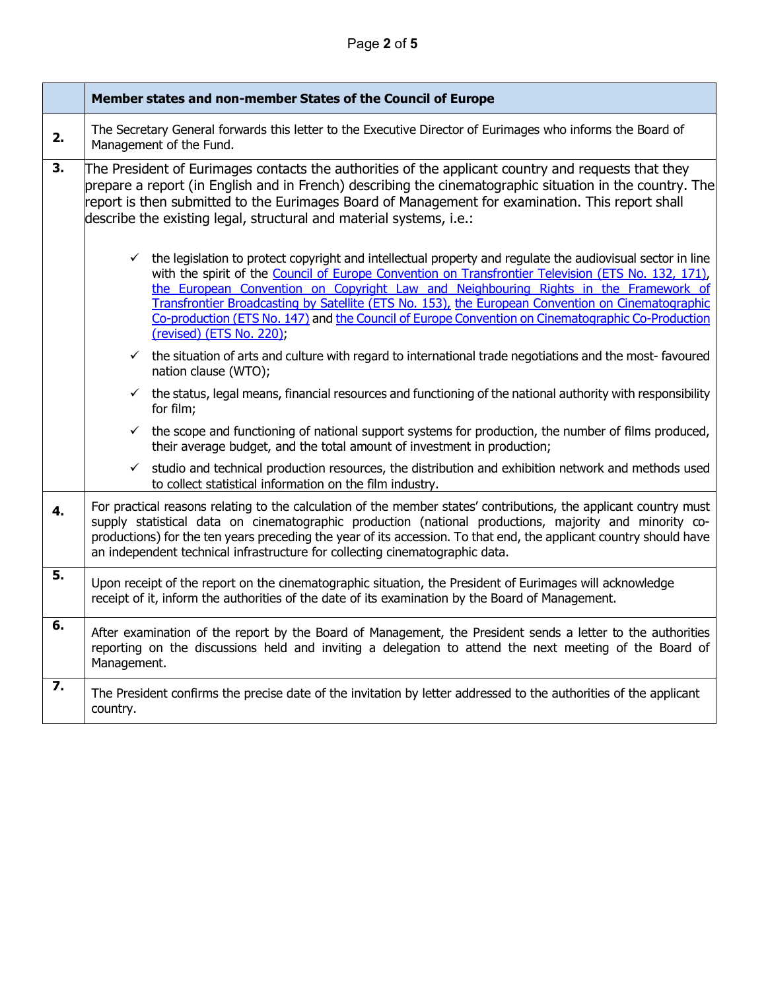## Page **2** of **5**

|    | Member states and non-member States of the Council of Europe                                                                                                                                                                                                                                                                                                                                                                      |                                                                                                                                                                                                                                                                                                                                                                                                                                                                                                                                                              |  |
|----|-----------------------------------------------------------------------------------------------------------------------------------------------------------------------------------------------------------------------------------------------------------------------------------------------------------------------------------------------------------------------------------------------------------------------------------|--------------------------------------------------------------------------------------------------------------------------------------------------------------------------------------------------------------------------------------------------------------------------------------------------------------------------------------------------------------------------------------------------------------------------------------------------------------------------------------------------------------------------------------------------------------|--|
| 2. | The Secretary General forwards this letter to the Executive Director of Eurimages who informs the Board of<br>Management of the Fund.                                                                                                                                                                                                                                                                                             |                                                                                                                                                                                                                                                                                                                                                                                                                                                                                                                                                              |  |
| 3. | The President of Eurimages contacts the authorities of the applicant country and requests that they<br>prepare a report (in English and in French) describing the cinematographic situation in the country. The<br>report is then submitted to the Eurimages Board of Management for examination. This report shall<br>describe the existing legal, structural and material systems, i.e.:                                        |                                                                                                                                                                                                                                                                                                                                                                                                                                                                                                                                                              |  |
|    |                                                                                                                                                                                                                                                                                                                                                                                                                                   | $\checkmark$ the legislation to protect copyright and intellectual property and regulate the audiovisual sector in line<br>with the spirit of the Council of Europe Convention on Transfrontier Television (ETS No. 132, 171),<br>the European Convention on Copyright Law and Neighbouring Rights in the Framework of<br>Transfrontier Broadcasting by Satellite (ETS No. 153), the European Convention on Cinematographic<br>Co-production (ETS No. 147) and the Council of Europe Convention on Cinematographic Co-Production<br>(revised) (ETS No. 220); |  |
|    |                                                                                                                                                                                                                                                                                                                                                                                                                                   | $\checkmark$ the situation of arts and culture with regard to international trade negotiations and the most-favoured<br>nation clause (WTO);                                                                                                                                                                                                                                                                                                                                                                                                                 |  |
|    |                                                                                                                                                                                                                                                                                                                                                                                                                                   | $\checkmark$ the status, legal means, financial resources and functioning of the national authority with responsibility<br>for film;                                                                                                                                                                                                                                                                                                                                                                                                                         |  |
|    |                                                                                                                                                                                                                                                                                                                                                                                                                                   | $\checkmark$ the scope and functioning of national support systems for production, the number of films produced,<br>their average budget, and the total amount of investment in production;                                                                                                                                                                                                                                                                                                                                                                  |  |
|    | $\checkmark$                                                                                                                                                                                                                                                                                                                                                                                                                      | studio and technical production resources, the distribution and exhibition network and methods used<br>to collect statistical information on the film industry.                                                                                                                                                                                                                                                                                                                                                                                              |  |
| 4. | For practical reasons relating to the calculation of the member states' contributions, the applicant country must<br>supply statistical data on cinematographic production (national productions, majority and minority co-<br>productions) for the ten years preceding the year of its accession. To that end, the applicant country should have<br>an independent technical infrastructure for collecting cinematographic data. |                                                                                                                                                                                                                                                                                                                                                                                                                                                                                                                                                              |  |
| 5. | Upon receipt of the report on the cinematographic situation, the President of Eurimages will acknowledge<br>receipt of it, inform the authorities of the date of its examination by the Board of Management.                                                                                                                                                                                                                      |                                                                                                                                                                                                                                                                                                                                                                                                                                                                                                                                                              |  |
| 6. | After examination of the report by the Board of Management, the President sends a letter to the authorities<br>reporting on the discussions held and inviting a delegation to attend the next meeting of the Board of<br>Management.                                                                                                                                                                                              |                                                                                                                                                                                                                                                                                                                                                                                                                                                                                                                                                              |  |
| 7. | The President confirms the precise date of the invitation by letter addressed to the authorities of the applicant<br>country.                                                                                                                                                                                                                                                                                                     |                                                                                                                                                                                                                                                                                                                                                                                                                                                                                                                                                              |  |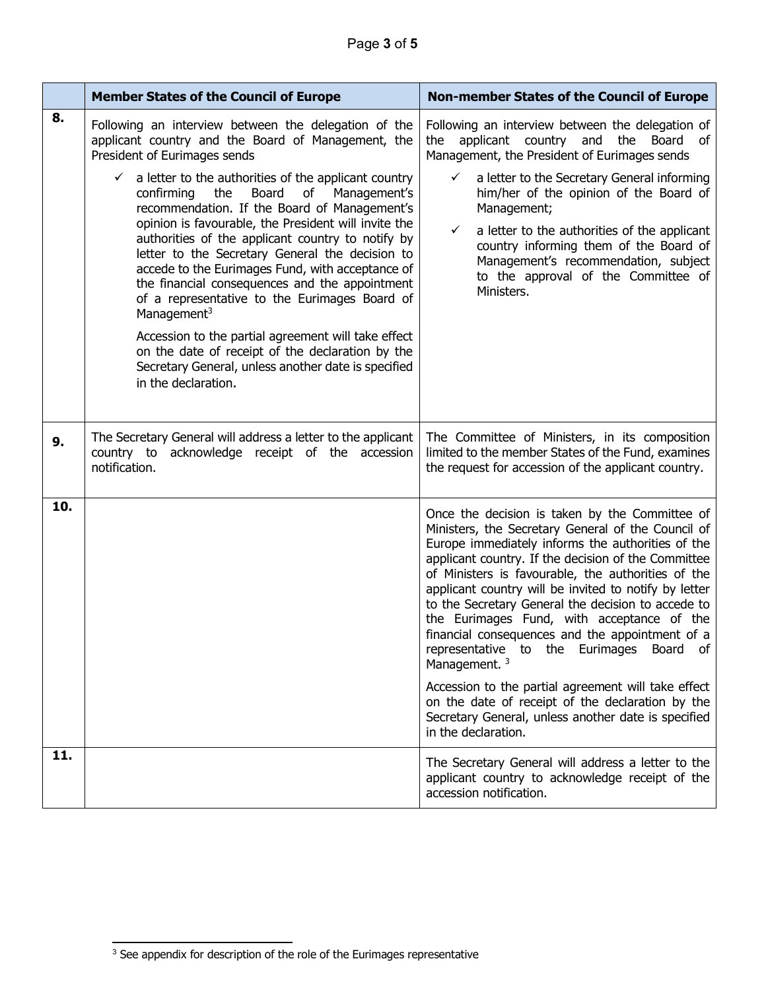|     | <b>Member States of the Council of Europe</b>                                                                                                                                                                                                                                                                                                                                                                                                                                                                                                                                                                                                                                                       | <b>Non-member States of the Council of Europe</b>                                                                                                                                                                                                                                                                                                                                                                                                                                                                                                                                                                                                                         |
|-----|-----------------------------------------------------------------------------------------------------------------------------------------------------------------------------------------------------------------------------------------------------------------------------------------------------------------------------------------------------------------------------------------------------------------------------------------------------------------------------------------------------------------------------------------------------------------------------------------------------------------------------------------------------------------------------------------------------|---------------------------------------------------------------------------------------------------------------------------------------------------------------------------------------------------------------------------------------------------------------------------------------------------------------------------------------------------------------------------------------------------------------------------------------------------------------------------------------------------------------------------------------------------------------------------------------------------------------------------------------------------------------------------|
| 8.  | Following an interview between the delegation of the<br>applicant country and the Board of Management, the<br>President of Eurimages sends                                                                                                                                                                                                                                                                                                                                                                                                                                                                                                                                                          | Following an interview between the delegation of<br>applicant country and<br>the<br>Board<br>the<br>of<br>Management, the President of Eurimages sends                                                                                                                                                                                                                                                                                                                                                                                                                                                                                                                    |
|     | a letter to the authorities of the applicant country<br>of<br>Management's<br>confirming<br>the<br>Board<br>recommendation. If the Board of Management's<br>opinion is favourable, the President will invite the<br>authorities of the applicant country to notify by<br>letter to the Secretary General the decision to<br>accede to the Eurimages Fund, with acceptance of<br>the financial consequences and the appointment<br>of a representative to the Eurimages Board of<br>Management <sup>3</sup><br>Accession to the partial agreement will take effect<br>on the date of receipt of the declaration by the<br>Secretary General, unless another date is specified<br>in the declaration. | a letter to the Secretary General informing<br>✓<br>him/her of the opinion of the Board of<br>Management;<br>a letter to the authorities of the applicant<br>✓<br>country informing them of the Board of<br>Management's recommendation, subject<br>to the approval of the Committee of<br>Ministers.                                                                                                                                                                                                                                                                                                                                                                     |
| 9.  | The Secretary General will address a letter to the applicant<br>country to acknowledge receipt of the accession<br>notification.                                                                                                                                                                                                                                                                                                                                                                                                                                                                                                                                                                    | The Committee of Ministers, in its composition<br>limited to the member States of the Fund, examines<br>the request for accession of the applicant country.                                                                                                                                                                                                                                                                                                                                                                                                                                                                                                               |
| 10. |                                                                                                                                                                                                                                                                                                                                                                                                                                                                                                                                                                                                                                                                                                     | Once the decision is taken by the Committee of<br>Ministers, the Secretary General of the Council of<br>Europe immediately informs the authorities of the<br>applicant country. If the decision of the Committee<br>of Ministers is favourable, the authorities of the<br>applicant country will be invited to notify by letter<br>to the Secretary General the decision to accede to<br>the Eurimages Fund, with acceptance of the<br>financial consequences and the appointment of a<br>representative to the Eurimages Board of<br>Management. <sup>3</sup><br>Accession to the partial agreement will take effect<br>on the date of receipt of the declaration by the |
|     |                                                                                                                                                                                                                                                                                                                                                                                                                                                                                                                                                                                                                                                                                                     | Secretary General, unless another date is specified<br>in the declaration.                                                                                                                                                                                                                                                                                                                                                                                                                                                                                                                                                                                                |
| 11. |                                                                                                                                                                                                                                                                                                                                                                                                                                                                                                                                                                                                                                                                                                     | The Secretary General will address a letter to the<br>applicant country to acknowledge receipt of the<br>accession notification.                                                                                                                                                                                                                                                                                                                                                                                                                                                                                                                                          |

<span id="page-2-0"></span><sup>&</sup>lt;sup>3</sup> See appendix for description of the role of the Eurimages representative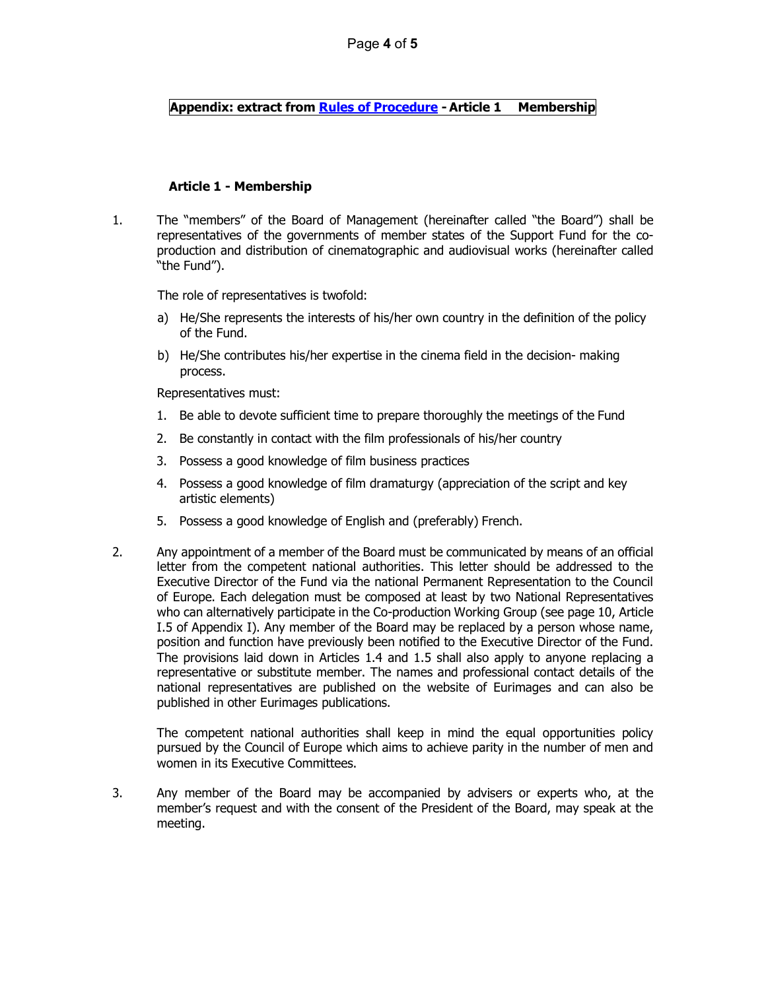## **Appendix: extract from [Rules of Procedure](https://rm.coe.int/2021-rulesprocedure-en-2788-3534-6178-v-1/1680a1100d) - Article 1 Membership**

## **Article 1 - Membership**

1. The "members" of the Board of Management (hereinafter called "the Board") shall be representatives of the governments of member states of the Support Fund for the coproduction and distribution of cinematographic and audiovisual works (hereinafter called "the Fund").

The role of representatives is twofold:

- a) He/She represents the interests of his/her own country in the definition of the policy of the Fund.
- b) He/She contributes his/her expertise in the cinema field in the decision- making process.

Representatives must:

- 1. Be able to devote sufficient time to prepare thoroughly the meetings of the Fund
- 2. Be constantly in contact with the film professionals of his/her country
- 3. Possess a good knowledge of film business practices
- 4. Possess a good knowledge of film dramaturgy (appreciation of the script and key artistic elements)
- 5. Possess a good knowledge of English and (preferably) French.
- 2. Any appointment of a member of the Board must be communicated by means of an official letter from the competent national authorities. This letter should be addressed to the Executive Director of the Fund via the national Permanent Representation to the Council of Europe. Each delegation must be composed at least by two National Representatives who can alternatively participate in the Co-production Working Group (see page 10, Article I.5 of Appendix I). Any member of the Board may be replaced by a person whose name, position and function have previously been notified to the Executive Director of the Fund. The provisions laid down in Articles 1.4 and 1.5 shall also apply to anyone replacing a representative or substitute member. The names and professional contact details of the national representatives are published on the website of Eurimages and can also be published in other Eurimages publications.

The competent national authorities shall keep in mind the equal opportunities policy pursued by the Council of Europe which aims to achieve parity in the number of men and women in its Executive Committees.

3. Any member of the Board may be accompanied by advisers or experts who, at the member's request and with the consent of the President of the Board, may speak at the meeting.